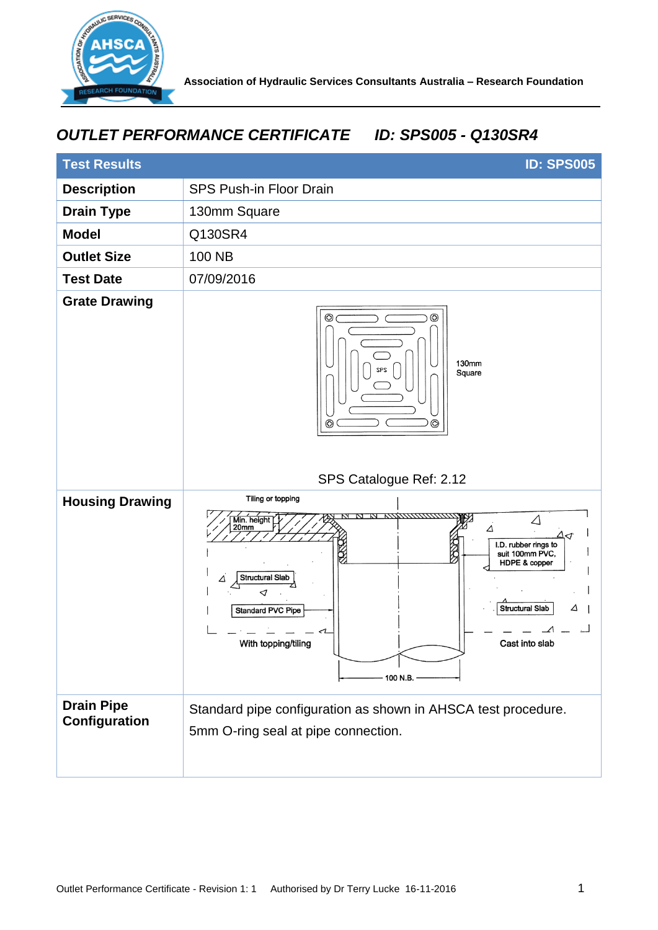

## *OUTLET PERFORMANCE CERTIFICATE ID: SPS005 - Q130SR4*

| <b>Test Results</b>                | <b>ID: SPS005</b>                                                                                                                                                                                                                                                                              |
|------------------------------------|------------------------------------------------------------------------------------------------------------------------------------------------------------------------------------------------------------------------------------------------------------------------------------------------|
| <b>Description</b>                 | <b>SPS Push-in Floor Drain</b>                                                                                                                                                                                                                                                                 |
| <b>Drain Type</b>                  | 130mm Square                                                                                                                                                                                                                                                                                   |
| <b>Model</b>                       | Q130SR4                                                                                                                                                                                                                                                                                        |
| <b>Outlet Size</b>                 | 100 NB                                                                                                                                                                                                                                                                                         |
| <b>Test Date</b>                   | 07/09/2016                                                                                                                                                                                                                                                                                     |
| <b>Grate Drawing</b>               | ⊕<br>ඟ<br>130mm<br><b>SPS</b><br>Square<br>$^{\circ}$<br>ඟ<br>SPS Catalogue Ref: 2.12                                                                                                                                                                                                          |
| <b>Housing Drawing</b>             | Tiling or topping<br><i>илиптики</i> и<br>$\triangle$<br>Min. height<br>20mm<br>Δ<br>Δ⊲<br>I.D. rubber rings to<br>Ź<br>suit 100mm PVC,<br>HDPE & copper<br>Structural Slab<br>Δ<br>⊲<br>Structural Slab<br>△<br><b>Standard PVC Pipe</b><br>With topping/tiling<br>Cast into slab<br>100 N.B. |
| <b>Drain Pipe</b><br>Configuration | Standard pipe configuration as shown in AHSCA test procedure.<br>5mm O-ring seal at pipe connection.                                                                                                                                                                                           |